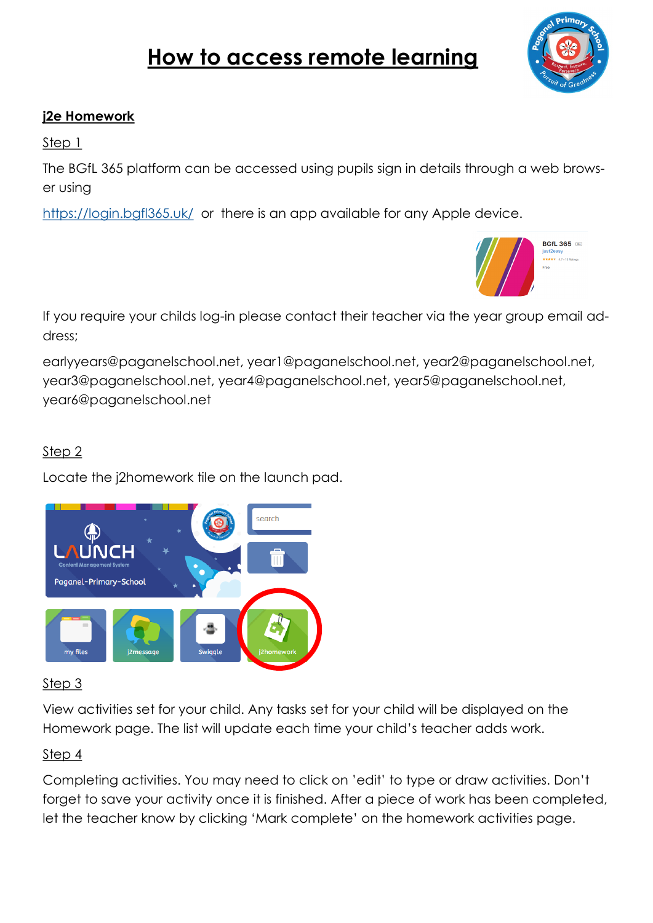# **How to access remote learning**



#### **j2e Homework**

Step 1

The BGfL 365 platform can be accessed using pupils sign in details through a web browser using

<https://login.bgfl365.uk/>or there is an app available for any Apple device.



If you require your childs log-in please contact their teacher via the year group email address;

earlyyears@paganelschool.net, year1@paganelschool.net, year2@paganelschool.net, year3@paganelschool.net, year4@paganelschool.net, year5@paganelschool.net, year6@paganelschool.net

## Step 2

Locate the j2homework tile on the launch pad.



## Step 3

View activities set for your child. Any tasks set for your child will be displayed on the Homework page. The list will update each time your child's teacher adds work.

### Step 4

Completing activities. You may need to click on 'edit' to type or draw activities. Don't forget to save your activity once it is finished. After a piece of work has been completed, let the teacher know by clicking 'Mark complete' on the homework activities page.